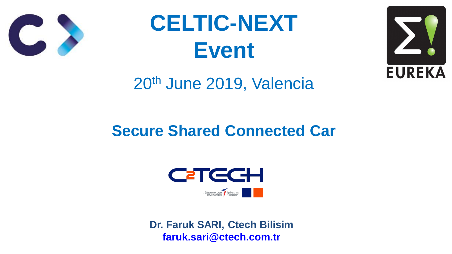## **Secure Shared Connected Car**









# **CELTIC-NEXT Event** 20th June 2019, Valencia

### **Dr. Faruk SARI, Ctech Bilisim [faruk.sari@ctech.com.tr](mailto:faruk.sari@ctech.com.tr)**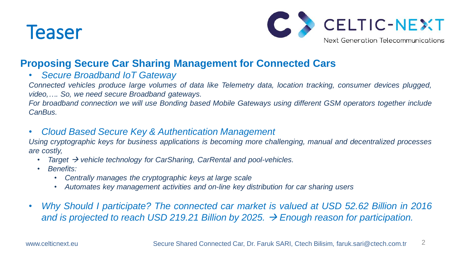

2

### **Proposing Secure Car Sharing Management for Connected Cars**

• *Secure Broadband IoT Gateway*

*Connected vehicles produce large volumes of data like Telemetry data, location tracking, consumer devices plugged, video,…. So, we need secure Broadband gateways.* For broadband connection we will use Bonding based Mobile Gateways using different GSM operators together include *CanBus.*

• *Cloud Based Secure Key & Authentication Management Using cryptographic keys for business applications is becoming more challenging, manual and decentralized processes are costly,*

- *Target vehicle technology for CarSharing, CarRental and pool-vehicles.*
- *Benefits:*
	- *Centrally manages the cryptographic keys at large scale*
	- *Automates key management activities and on-line key distribution for car sharing users*
- 

www.celticnext.eu Secure Shared Connected Car, Dr. Faruk SARI, Ctech Bilisim, faruk.sari@ctech.com.tr



• *Why Should I participate? The connected car market is valued at USD 52.62 Billion in 2016 and is projected to reach USD 219.21 Billion by 2025. Enough reason for participation.*









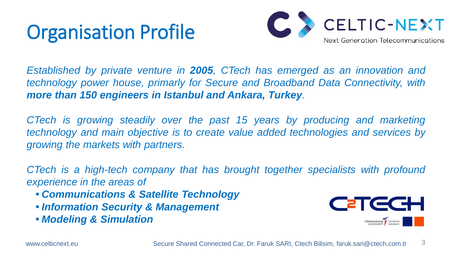## Organisation Profile

3

*Established by private venture in 2005, CTech has emerged as an innovation and technology power house, primarly for Secure and Broadband Data Connectivity, with more than 150 engineers in Istanbul and Ankara, Turkey.*

*CTech is growing steadily over the past 15 years by producing and marketing technology and main objective is to create value added technologies and services by growing the markets with partners.*

*CTech is a high-tech company that has brought together specialists with profound experience in the areas of*

- *• Communications & Satellite Technology*
- *• Information Security & Management*
- *• Modeling & Simulation*

www.celticnext.eu Secure Shared Connected Car, Dr. Faruk SARI, Ctech Bilisim, faruk.sari@ctech.com.tr













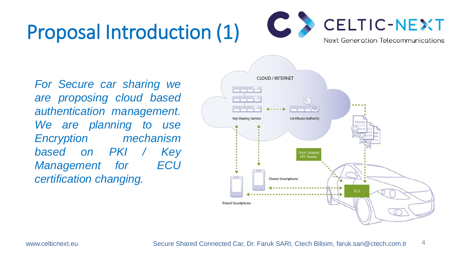## Proposal Introduction (1)

4

*For Secure car sharing we are proposing cloud based authentication management. We are planning to use Encryption mechanism based on PKI / Key Management for ECU certification changing.*



www.celticnext.eu Secure Shared Connected Car, Dr. Faruk SARI, Ctech Bilisim, faruk.sari@ctech.com.tr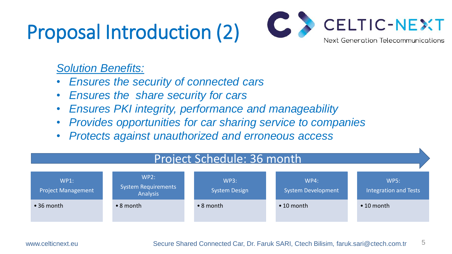## Proposal Introduction (2)

5

### *Solution Benefits:*

- 
- *Ensures the security of connected cars* • *Ensures the share security for cars* • *Ensures PKI integrity, performance and manageability* • *Provides opportunities for car sharing service to companies* • *Protects against unauthorized and erroneous access*
- 
- 
- 





WP3:

System Design

WP4:

System Development

• 10 month

WP5:

Integration and Tests

• 10 month





### Project Schedule: 36 month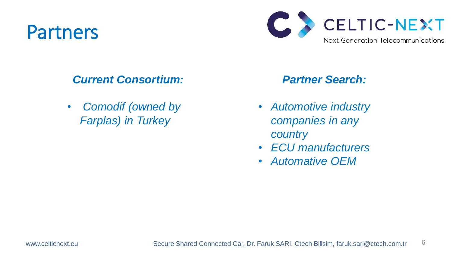## Partners

6

### *Current Consortium:*

• *Comodif (owned by Farplas) in Turkey*



### *Partner Search:*

- *Automotive industry companies in any country*
- *ECU manufacturers*
- *Automative OEM*